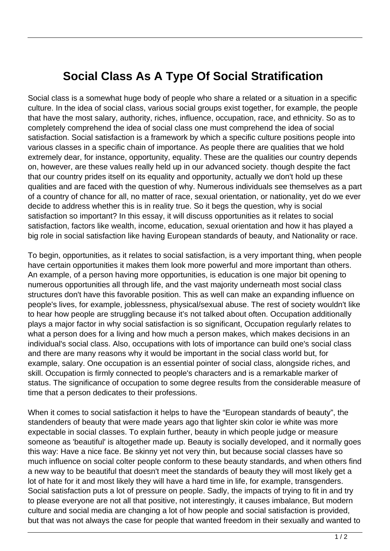## **Social Class As A Type Of Social Stratification**

Social class is a somewhat huge body of people who share a related or a situation in a specific culture. In the idea of social class, various social groups exist together, for example, the people that have the most salary, authority, riches, influence, occupation, race, and ethnicity. So as to completely comprehend the idea of social class one must comprehend the idea of social satisfaction. Social satisfaction is a framework by which a specific culture positions people into various classes in a specific chain of importance. As people there are qualities that we hold extremely dear, for instance, opportunity, equality. These are the qualities our country depends on, however, are these values really held up in our advanced society. though despite the fact that our country prides itself on its equality and opportunity, actually we don't hold up these qualities and are faced with the question of why. Numerous individuals see themselves as a part of a country of chance for all, no matter of race, sexual orientation, or nationality, yet do we ever decide to address whether this is in reality true. So it begs the question, why is social satisfaction so important? In this essay, it will discuss opportunities as it relates to social satisfaction, factors like wealth, income, education, sexual orientation and how it has played a big role in social satisfaction like having European standards of beauty, and Nationality or race.

To begin, opportunities, as it relates to social satisfaction, is a very important thing, when people have certain opportunities it makes them look more powerful and more important than others. An example, of a person having more opportunities, is education is one major bit opening to numerous opportunities all through life, and the vast majority underneath most social class structures don't have this favorable position. This as well can make an expanding influence on people's lives, for example, joblessness, physical/sexual abuse. The rest of society wouldn't like to hear how people are struggling because it's not talked about often. Occupation additionally plays a major factor in why social satisfaction is so significant, Occupation regularly relates to what a person does for a living and how much a person makes, which makes decisions in an individual's social class. Also, occupations with lots of importance can build one's social class and there are many reasons why it would be important in the social class world but, for example, salary. One occupation is an essential pointer of social class, alongside riches, and skill. Occupation is firmly connected to people's characters and is a remarkable marker of status. The significance of occupation to some degree results from the considerable measure of time that a person dedicates to their professions.

When it comes to social satisfaction it helps to have the "European standards of beauty", the standenders of beauty that were made years ago that lighter skin color ie white was more expectable in social classes. To explain further, beauty in which people judge or measure someone as 'beautiful' is altogether made up. Beauty is socially developed, and it normally goes this way: Have a nice face. Be skinny yet not very thin, but because social classes have so much influence on social colter people conform to these beauty standards, and when others find a new way to be beautiful that doesn't meet the standards of beauty they will most likely get a lot of hate for it and most likely they will have a hard time in life, for example, transgenders. Social satisfaction puts a lot of pressure on people. Sadly, the impacts of trying to fit in and try to please everyone are not all that positive, not interestingly, it causes imbalance, But modern culture and social media are changing a lot of how people and social satisfaction is provided, but that was not always the case for people that wanted freedom in their sexually and wanted to